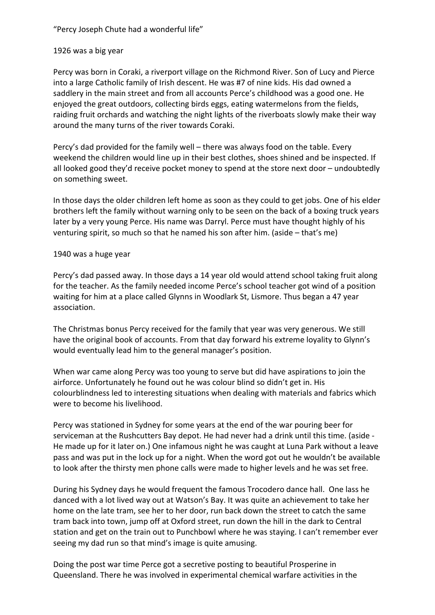"Percy Joseph Chute had a wonderful life"

## 1926 was a big year

Percy was born in Coraki, a riverport village on the Richmond River. Son of Lucy and Pierce into a large Catholic family of Irish descent. He was #7 of nine kids. His dad owned a saddlery in the main street and from all accounts Perce's childhood was a good one. He enjoyed the great outdoors, collecting birds eggs, eating watermelons from the fields, raiding fruit orchards and watching the night lights of the riverboats slowly make their way around the many turns of the river towards Coraki.

Percy's dad provided for the family well – there was always food on the table. Every weekend the children would line up in their best clothes, shoes shined and be inspected. If all looked good they'd receive pocket money to spend at the store next door – undoubtedly on something sweet.

In those days the older children left home as soon as they could to get jobs. One of his elder brothers left the family without warning only to be seen on the back of a boxing truck years later by a very young Perce. His name was Darryl. Perce must have thought highly of his venturing spirit, so much so that he named his son after him. (aside – that's me)

## 1940 was a huge year

Percy's dad passed away. In those days a 14 year old would attend school taking fruit along for the teacher. As the family needed income Perce's school teacher got wind of a position waiting for him at a place called Glynns in Woodlark St, Lismore. Thus began a 47 year association.

The Christmas bonus Percy received for the family that year was very generous. We still have the original book of accounts. From that day forward his extreme loyality to Glynn's would eventually lead him to the general manager's position.

When war came along Percy was too young to serve but did have aspirations to join the airforce. Unfortunately he found out he was colour blind so didn't get in. His colourblindness led to interesting situations when dealing with materials and fabrics which were to become his livelihood.

Percy was stationed in Sydney for some years at the end of the war pouring beer for serviceman at the Rushcutters Bay depot. He had never had a drink until this time. (aside - He made up for it later on.) One infamous night he was caught at Luna Park without a leave pass and was put in the lock up for a night. When the word got out he wouldn't be available to look after the thirsty men phone calls were made to higher levels and he was set free.

During his Sydney days he would frequent the famous Trocodero dance hall. One lass he danced with a lot lived way out at Watson's Bay. It was quite an achievement to take her home on the late tram, see her to her door, run back down the street to catch the same tram back into town, jump off at Oxford street, run down the hill in the dark to Central station and get on the train out to Punchbowl where he was staying. I can't remember ever seeing my dad run so that mind's image is quite amusing.

Doing the post war time Perce got a secretive posting to beautiful Prosperine in Queensland. There he was involved in experimental chemical warfare activities in the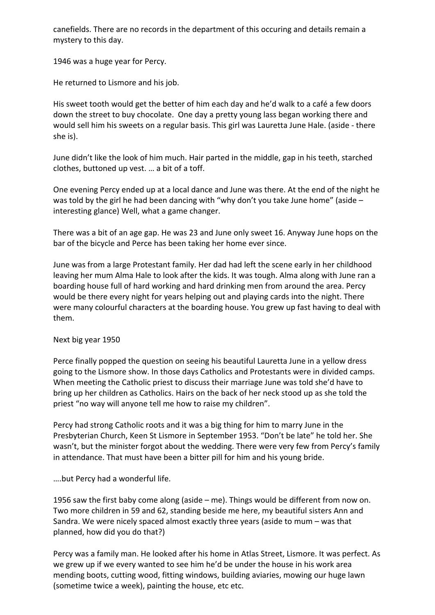canefields. There are no records in the department of this occuring and details remain a mystery to this day.

1946 was a huge year for Percy.

He returned to Lismore and his job.

His sweet tooth would get the better of him each day and he'd walk to a café a few doors down the street to buy chocolate. One day a pretty young lass began working there and would sell him his sweets on a regular basis. This girl was Lauretta June Hale. (aside - there she is).

June didn't like the look of him much. Hair parted in the middle, gap in his teeth, starched clothes, buttoned up vest. … a bit of a toff.

One evening Percy ended up at a local dance and June was there. At the end of the night he was told by the girl he had been dancing with "why don't you take June home" (aside – interesting glance) Well, what a game changer.

There was a bit of an age gap. He was 23 and June only sweet 16. Anyway June hops on the bar of the bicycle and Perce has been taking her home ever since.

June was from a large Protestant family. Her dad had left the scene early in her childhood leaving her mum Alma Hale to look after the kids. It was tough. Alma along with June ran a boarding house full of hard working and hard drinking men from around the area. Percy would be there every night for years helping out and playing cards into the night. There were many colourful characters at the boarding house. You grew up fast having to deal with them.

Next big year 1950

Perce finally popped the question on seeing his beautiful Lauretta June in a yellow dress going to the Lismore show. In those days Catholics and Protestants were in divided camps. When meeting the Catholic priest to discuss their marriage June was told she'd have to bring up her children as Catholics. Hairs on the back of her neck stood up as she told the priest "no way will anyone tell me how to raise my children".

Percy had strong Catholic roots and it was a big thing for him to marry June in the Presbyterian Church, Keen St Lismore in September 1953. "Don't be late" he told her. She wasn't, but the minister forgot about the wedding. There were very few from Percy's family in attendance. That must have been a bitter pill for him and his young bride.

….but Percy had a wonderful life.

1956 saw the first baby come along (aside – me). Things would be different from now on. Two more children in 59 and 62, standing beside me here, my beautiful sisters Ann and Sandra. We were nicely spaced almost exactly three years (aside to mum – was that planned, how did you do that?)

Percy was a family man. He looked after his home in Atlas Street, Lismore. It was perfect. As we grew up if we every wanted to see him he'd be under the house in his work area mending boots, cutting wood, fitting windows, building aviaries, mowing our huge lawn (sometime twice a week), painting the house, etc etc.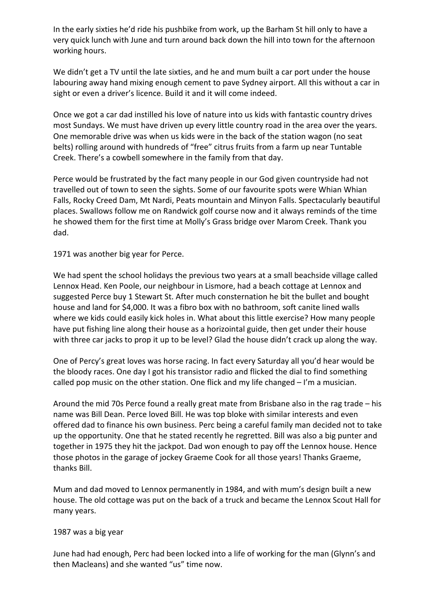In the early sixties he'd ride his pushbike from work, up the Barham St hill only to have a very quick lunch with June and turn around back down the hill into town for the afternoon working hours.

We didn't get a TV until the late sixties, and he and mum built a car port under the house labouring away hand mixing enough cement to pave Sydney airport. All this without a car in sight or even a driver's licence. Build it and it will come indeed.

Once we got a car dad instilled his love of nature into us kids with fantastic country drives most Sundays. We must have driven up every little country road in the area over the years. One memorable drive was when us kids were in the back of the station wagon (no seat belts) rolling around with hundreds of "free" citrus fruits from a farm up near Tuntable Creek. There's a cowbell somewhere in the family from that day.

Perce would be frustrated by the fact many people in our God given countryside had not travelled out of town to seen the sights. Some of our favourite spots were Whian Whian Falls, Rocky Creed Dam, Mt Nardi, Peats mountain and Minyon Falls. Spectacularly beautiful places. Swallows follow me on Randwick golf course now and it always reminds of the time he showed them for the first time at Molly's Grass bridge over Marom Creek. Thank you dad.

1971 was another big year for Perce.

We had spent the school holidays the previous two years at a small beachside village called Lennox Head. Ken Poole, our neighbour in Lismore, had a beach cottage at Lennox and suggested Perce buy 1 Stewart St. After much consternation he bit the bullet and bought house and land for \$4,000. It was a fibro box with no bathroom, soft canite lined walls where we kids could easily kick holes in. What about this little exercise? How many people have put fishing line along their house as a horizointal guide, then get under their house with three car jacks to prop it up to be level? Glad the house didn't crack up along the way.

One of Percy's great loves was horse racing. In fact every Saturday all you'd hear would be the bloody races. One day I got his transistor radio and flicked the dial to find something called pop music on the other station. One flick and my life changed – I'm a musician.

Around the mid 70s Perce found a really great mate from Brisbane also in the rag trade – his name was Bill Dean. Perce loved Bill. He was top bloke with similar interests and even offered dad to finance his own business. Perc being a careful family man decided not to take up the opportunity. One that he stated recently he regretted. Bill was also a big punter and together in 1975 they hit the jackpot. Dad won enough to pay off the Lennox house. Hence those photos in the garage of jockey Graeme Cook for all those years! Thanks Graeme, thanks Bill.

Mum and dad moved to Lennox permanently in 1984, and with mum's design built a new house. The old cottage was put on the back of a truck and became the Lennox Scout Hall for many years.

## 1987 was a big year

June had had enough, Perc had been locked into a life of working for the man (Glynn's and then Macleans) and she wanted "us" time now.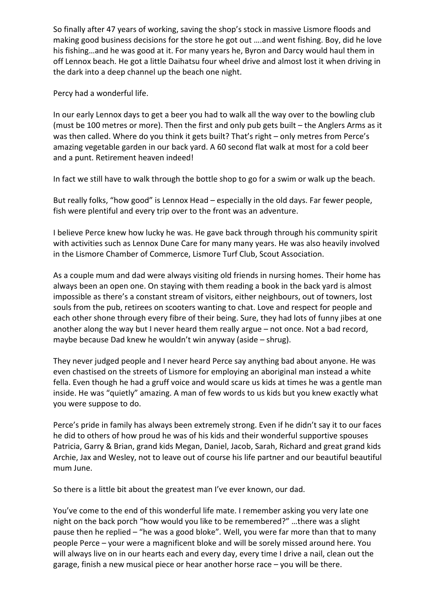So finally after 47 years of working, saving the shop's stock in massive Lismore floods and making good business decisions for the store he got out ….and went fishing. Boy, did he love his fishing…and he was good at it. For many years he, Byron and Darcy would haul them in off Lennox beach. He got a little Daihatsu four wheel drive and almost lost it when driving in the dark into a deep channel up the beach one night.

Percy had a wonderful life.

In our early Lennox days to get a beer you had to walk all the way over to the bowling club (must be 100 metres or more). Then the first and only pub gets built – the Anglers Arms as it was then called. Where do you think it gets built? That's right – only metres from Perce's amazing vegetable garden in our back yard. A 60 second flat walk at most for a cold beer and a punt. Retirement heaven indeed!

In fact we still have to walk through the bottle shop to go for a swim or walk up the beach.

But really folks, "how good" is Lennox Head – especially in the old days. Far fewer people, fish were plentiful and every trip over to the front was an adventure.

I believe Perce knew how lucky he was. He gave back through through his community spirit with activities such as Lennox Dune Care for many many years. He was also heavily involved in the Lismore Chamber of Commerce, Lismore Turf Club, Scout Association.

As a couple mum and dad were always visiting old friends in nursing homes. Their home has always been an open one. On staying with them reading a book in the back yard is almost impossible as there's a constant stream of visitors, either neighbours, out of towners, lost souls from the pub, retirees on scooters wanting to chat. Love and respect for people and each other shone through every fibre of their being. Sure, they had lots of funny jibes at one another along the way but I never heard them really argue – not once. Not a bad record, maybe because Dad knew he wouldn't win anyway (aside – shrug).

They never judged people and I never heard Perce say anything bad about anyone. He was even chastised on the streets of Lismore for employing an aboriginal man instead a white fella. Even though he had a gruff voice and would scare us kids at times he was a gentle man inside. He was "quietly" amazing. A man of few words to us kids but you knew exactly what you were suppose to do.

Perce's pride in family has always been extremely strong. Even if he didn't say it to our faces he did to others of how proud he was of his kids and their wonderful supportive spouses Patricia, Garry & Brian, grand kids Megan, Daniel, Jacob, Sarah, Richard and great grand kids Archie, Jax and Wesley, not to leave out of course his life partner and our beautiful beautiful mum June.

So there is a little bit about the greatest man I've ever known, our dad.

You've come to the end of this wonderful life mate. I remember asking you very late one night on the back porch "how would you like to be remembered?" …there was a slight pause then he replied – "he was a good bloke". Well, you were far more than that to many people Perce – your were a magnificent bloke and will be sorely missed around here. You will always live on in our hearts each and every day, every time I drive a nail, clean out the garage, finish a new musical piece or hear another horse race – you will be there.